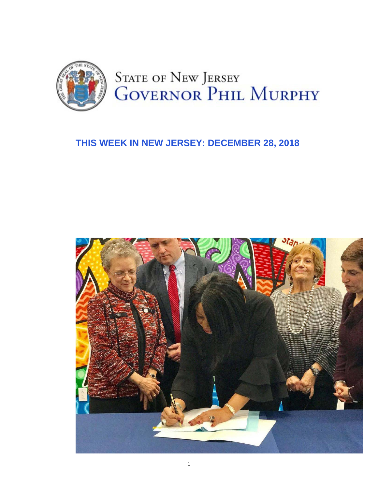

### **THIS WEEK IN NEW JERSEY: DECEMBER 28, 2018**

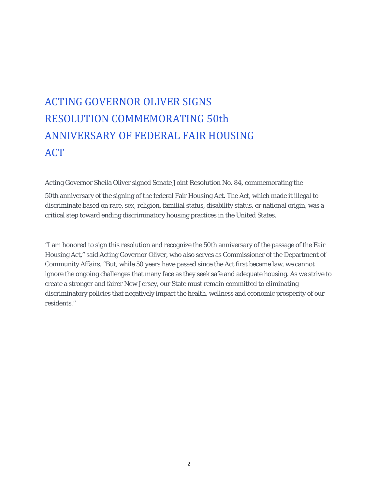### ACTING GOVERNOR OLIVER SIGNS RESOLUTION COMMEMORATING 50th ANNIVERSARY OF FEDERAL FAIR HOUSING ACT

Acting Governor Sheila Oliver signed Senate Joint Resolution No. 84, commemorating the 50th anniversary of the signing of the federal Fair Housing Act. The Act, which made it illegal to discriminate based on race, sex, religion, familial status, disability status, or national origin, was a critical step toward ending discriminatory housing practices in the United States.

"I am honored to sign this resolution and recognize the 50th anniversary of the passage of the Fair Housing Act," said Acting Governor Oliver, who also serves as Commissioner of the Department of Community Affairs. "But, while 50 years have passed since the Act first became law, we cannot ignore the ongoing challenges that many face as they seek safe and adequate housing. As we strive to create a stronger and fairer New Jersey, our State must remain committed to eliminating discriminatory policies that negatively impact the health, wellness and economic prosperity of our residents."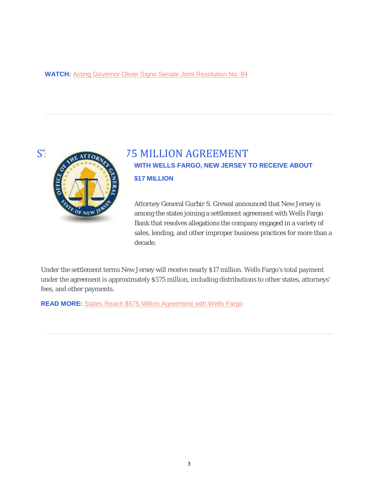#### **WATCH:** Acting Governor Oliver Signs Senate Joint Resolution No. 84





### STATES 75 MILLION AGREEMENT **WITH WELLS FARGO, NEW JERSEY TO RECEIVE ABOUT \$17 MILLION**

Attorney General Gurbir S. Grewal announced that New Jersey is among the states joining a settlement agreement with Wells Fargo Bank that resolves allegations the company engaged in a variety of sales, lending, and other improper business practices for more than a decade.

Under the settlement terms New Jersey will receive nearly \$17 million. Wells Fargo's total payment under the agreement is approximately \$575 million, including distributions to other states, attorneys' fees, and other payments.

**READ MORE:** States Reach \$575 Million Agreement with Wells Fargo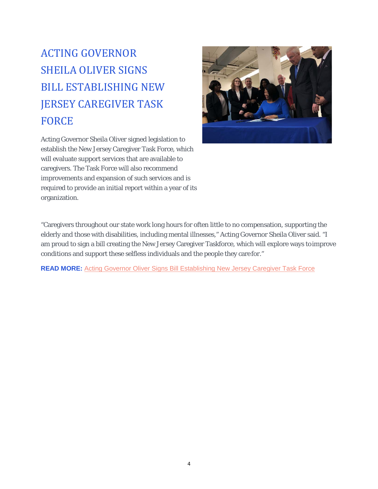### ACTING GOVERNOR SHEILA OLIVER SIGNS BILL ESTABLISHING NEW JERSEY CAREGIVER TASK FORCE

Acting Governor Sheila Oliver signed legislation to establish the New Jersey Caregiver Task Force, which will evaluate support services that are available to caregivers. The Task Force will also recommend improvements and expansion of such services and is required to provide an initial report within a year of its organization.



"Caregivers throughout our state work long hours for often little to no compensation, supporting the elderly and those with disabilities, including mental illnesses," Acting Governor Sheila Oliver said. "I am proud to sign a bill creating the New Jersey Caregiver Taskforce, which will explore ways toimprove conditions and support these selfless individuals and the people they care for."

**READ MORE:** Acting Governor Oliver Signs Bill Establishing New Jersey Caregiver Task Force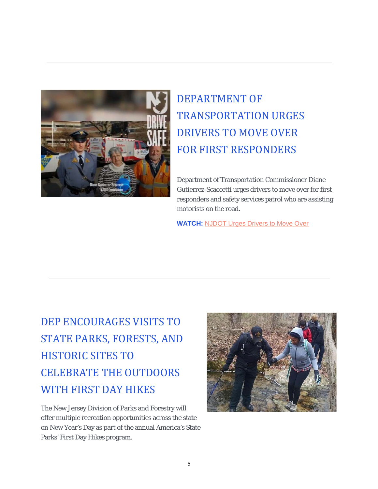

# DEPARTMENT OF TRANSPORTATION URGES DRIVERS TO MOVE OVER FOR FIRST RESPONDERS

Department of Transportation Commissioner Diane Gutierrez-Scaccetti urges drivers to move over for first responders and safety services patrol who are assisting motorists on the road.

**WATCH:** NJDOT Urges Drivers to Move Over

# DEP ENCOURAGES VISITS TO STATE PARKS, FORESTS, AND HISTORIC SITES TO CELEBRATE THE OUTDOORS WITH FIRST DAY HIKES

The New Jersey Division of Parks and Forestry will offer multiple recreation opportunities across the state on New Year's Day as part of the annual America's State Parks' First Day Hikes program.